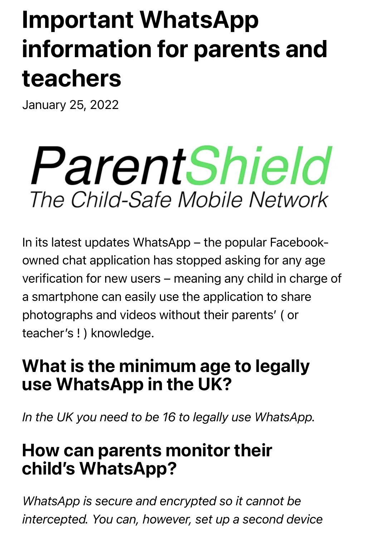# Important WhatsApp information for parents and teachers

January 25, 2022

# ParentShield The Child-Safe Mobile Network

In its latest updates WhatsApp – the popular Facebookowned chat application has stopped asking for any age verification for new users – meaning any child in charge of a smartphone can easily use the application to share photographs and videos without their parents' ( or teacher's ! ) knowledge.

#### What is the minimum age to legally use WhatsApp in the UK?

*In the UK you need to be 16 to legally use WhatsApp.*

#### How can parents monitor their child's WhatsApp?

*WhatsApp is secure and encrypted so it cannot be intercepted. You can, however, set up a second device*